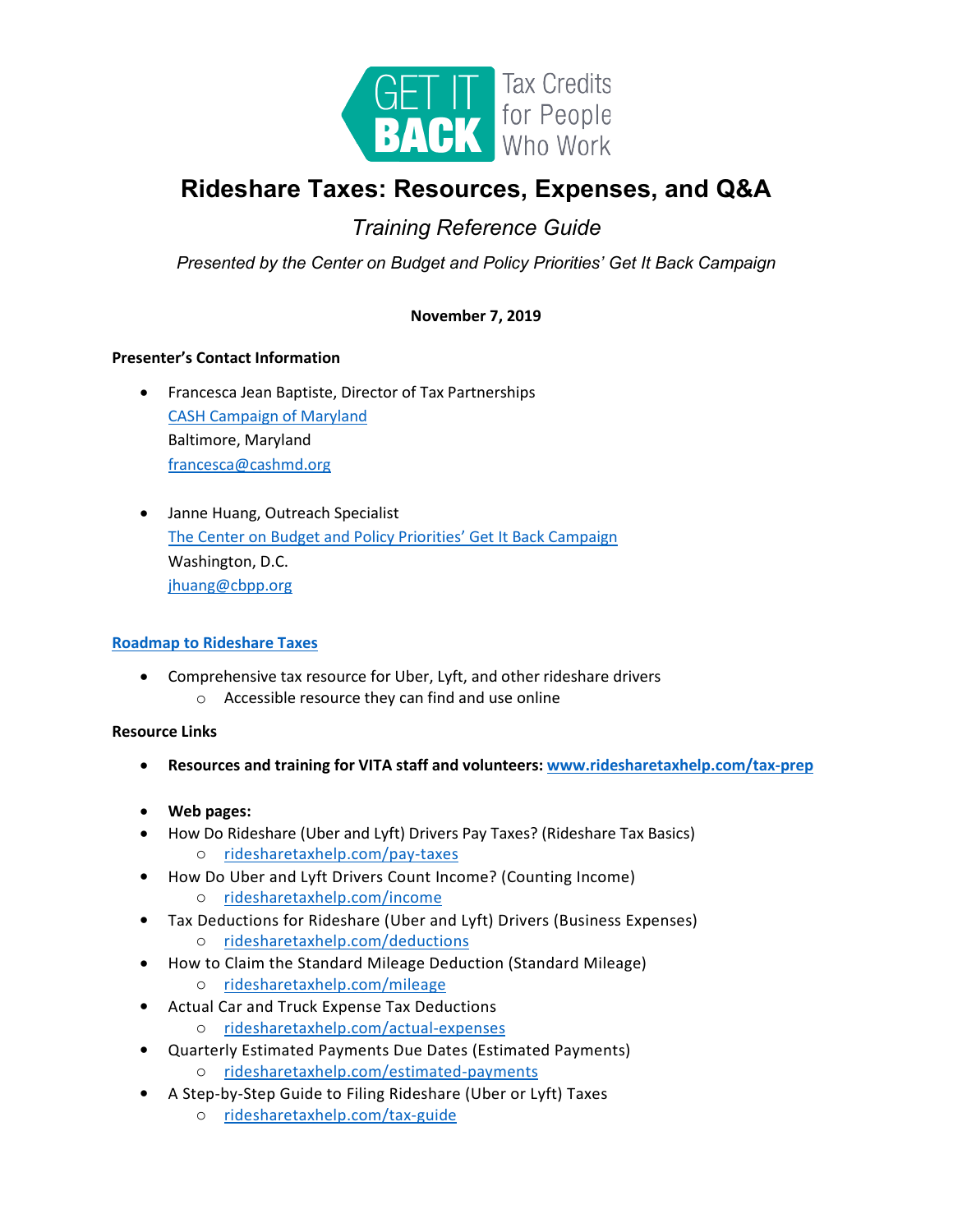

# **Rideshare Taxes: Resources, Expenses, and Q&A**

# *Training Reference Guide*

*Presented by the Center on Budget and Policy Priorities' Get It Back Campaign*

# **November 7, 2019**

# **Presenter's Contact Information**

- Francesca Jean Baptiste, Director of Tax Partnerships [CASH Campaign of Maryland](http://cashmd.org/) Baltimore, Maryland [francesca@cashmd.org](mailto:francesca@cashmd.org)
- Janne Huang, Outreach Specialist [The Center on Budget and Policy Priorities' Get It Back Campaign](http://www.eitcoutreach.org/) Washington, D.C. [jhuang@cbpp.org](mailto:jhuang@cbpp.org)

## **[Roadmap to Rideshare Taxes](https://www.eitcoutreach.org/rideshare/)**

- Comprehensive tax resource for Uber, Lyft, and other rideshare drivers
	- o Accessible resource they can find and use online

# **Resource Links**

- **Resources and training for VITA staff and volunteers: [www.ridesharetaxhelp.com/tax-prep](http://www.ridesharetaxhelp.com/tax-prep)**
- **Web pages:**
- How Do Rideshare (Uber and Lyft) Drivers Pay Taxes? (Rideshare Tax Basics) o [ridesharetaxhelp.com/pay-taxes](http://ridesharetaxhelp.com/pay-taxes)
- How Do Uber and Lyft Drivers Count Income? (Counting Income)
	- o [ridesharetaxhelp.com/income](http://ridesharetaxhelp.com/income)
- Tax Deductions for Rideshare (Uber and Lyft) Drivers (Business Expenses)
	- o [ridesharetaxhelp.com/deductions](http://ridesharetaxhelp.com/deductions)
- How to Claim the Standard Mileage Deduction (Standard Mileage)
	- o [ridesharetaxhelp.com/mileage](http://ridesharetaxhelp.com/mileage)
- Actual Car and Truck Expense Tax Deductions
	- o [ridesharetaxhelp.com/actual-expenses](http://www.ridesharetaxhelp.com/actual-expenses)
- Quarterly Estimated Payments Due Dates (Estimated Payments) o [ridesharetaxhelp.com/estimated-payments](http://ridesharetaxhelp.com/estimated-payments)
- A Step-by-Step Guide to Filing Rideshare (Uber or Lyft) Taxes
	- o [ridesharetaxhelp.com/tax-guide](http://ridesharetaxhelp.com/tax-guide)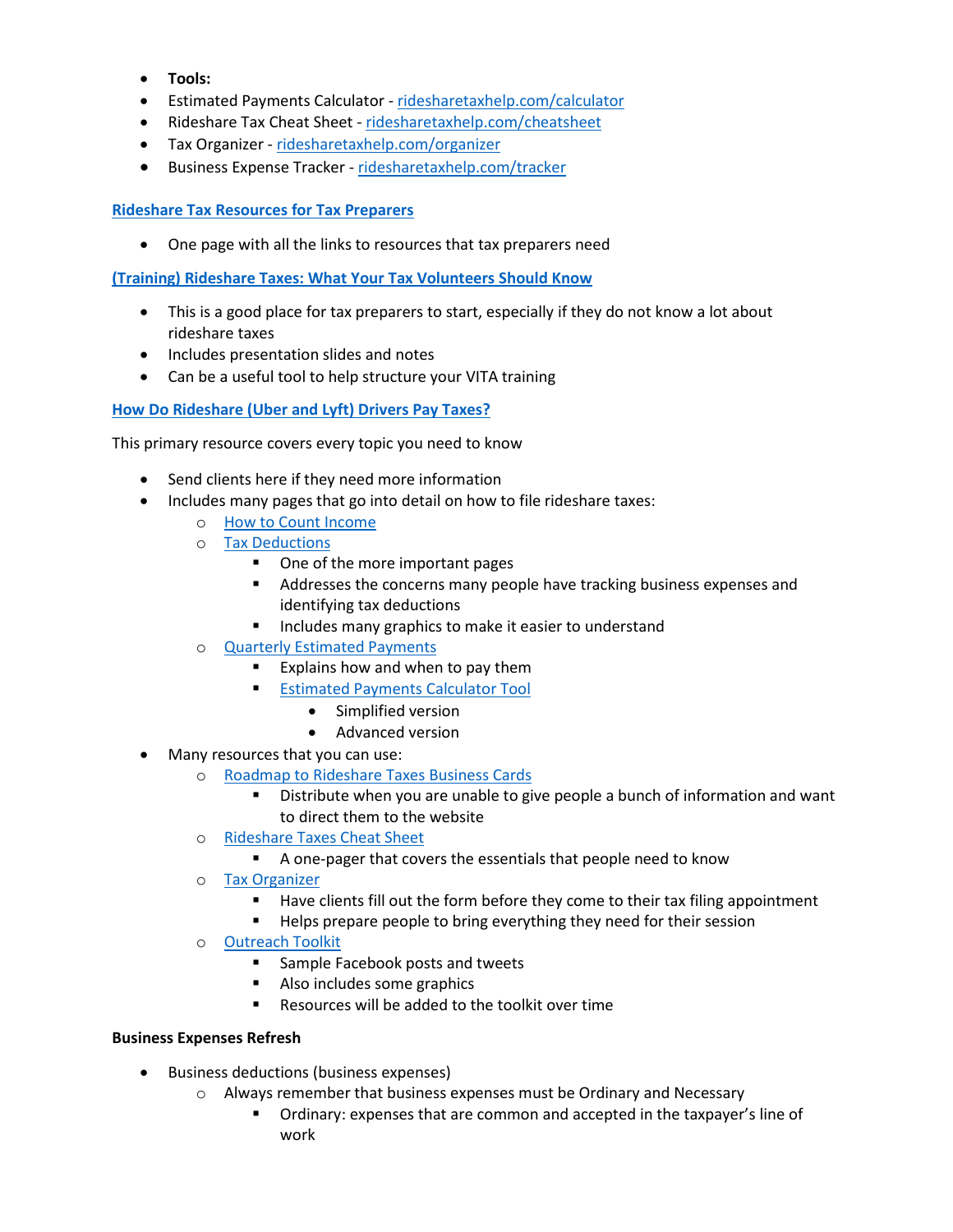- **Tools:**
- Estimated Payments Calculator ridesharetaxhelp.com/calculator
- Rideshare Tax Cheat Sheet ridesharetaxhelp.com/cheatsheet
- Tax Organizer ridesharetaxhelp.com/organizer
- Business Expense Tracker [ridesharetaxhelp.com/tracker](http://www.ridesharetaxhelp.com/tracker)

# **[Rideshare Tax Resources for Tax Preparers](http://www.ridesharetaxhelp.com/tax-prep)**

• One page with all the links to resources that tax preparers need

**[\(Training\) Rideshare Taxes: What Your Tax Volunteers Should Know](http://eitcoutreach.org/rideshare-training)**

- This is a good place for tax preparers to start, especially if they do not know a lot about rideshare taxes
- Includes presentation slides and notes
- Can be a useful tool to help structure your VITA training

**[How Do Rideshare \(Uber and Lyft\) Drivers Pay Taxes?](http://ridesharetaxhelp.com/pay-taxes)**

This primary resource covers every topic you need to know

- Send clients here if they need more information
- Includes many pages that go into detail on how to file rideshare taxes:
	- o [How to Count Income](http://www.ridesharetaxhelp.com/income)
	- o [Tax Deductions](http://www.ridesharetaxhelp.com/deductions)
		- One of the more important pages
		- Addresses the concerns many people have tracking business expenses and identifying tax deductions
		- **Includes many graphics to make it easier to understand**
	- o [Quarterly Estimated Payments](http://www.ridesharetaxhelp.com/estimated-payments)
		- Explains how and when to pay them
		- **Estimated Payments Calculator Tool** 
			- Simplified version
			- Advanced version
- Many resources that you can use:
	- o Roadmap to Rideshare Taxes Business Cards
		- Distribute when you are unable to give people a bunch of information and want to direct them to the website
	- o Rideshare Taxes Cheat Sheet
		- A one-pager that covers the essentials that people need to know
	- o Tax Organizer
		- Have clients fill out the form before they come to their tax filing appointment
		- **Helps prepare people to bring everything they need for their session**
	- o [Outreach Toolkit](https://drive.google.com/open?id=1VDBRfJCSS3znp9V4jqcutbvEhvJG5DJy)
		- Sample Facebook posts and tweets
		- **Also includes some graphics**
		- Resources will be added to the toolkit over time

## **Business Expenses Refresh**

- Business deductions (business expenses)
	- o Always remember that business expenses must be Ordinary and Necessary
		- Ordinary: expenses that are common and accepted in the taxpayer's line of work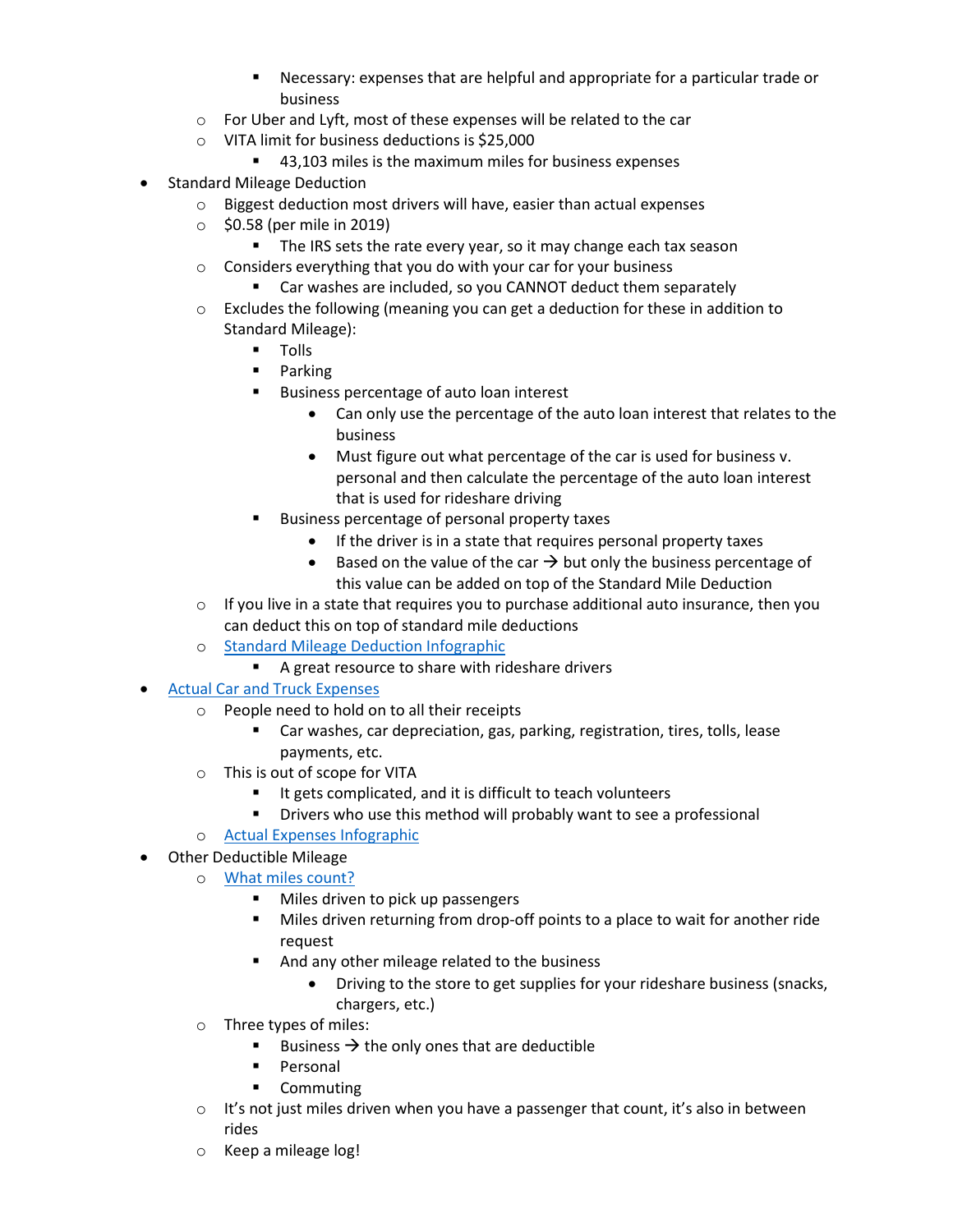- Necessary: expenses that are helpful and appropriate for a particular trade or business
- o For Uber and Lyft, most of these expenses will be related to the car
- o VITA limit for business deductions is \$25,000
	- 43,103 miles is the maximum miles for business expenses
- Standard Mileage Deduction
	- o Biggest deduction most drivers will have, easier than actual expenses
	- $\circ$  \$0.58 (per mile in 2019)
		- The IRS sets the rate every year, so it may change each tax season
	- o Considers everything that you do with your car for your business
		- Car washes are included, so you CANNOT deduct them separately
	- $\circ$  Excludes the following (meaning you can get a deduction for these in addition to Standard Mileage):
		- **Tolls**
		- **Parking**
		- **Business percentage of auto loan interest** 
			- Can only use the percentage of the auto loan interest that relates to the business
			- Must figure out what percentage of the car is used for business v. personal and then calculate the percentage of the auto loan interest that is used for rideshare driving
		- **Business percentage of personal property taxes** 
			- If the driver is in a state that requires personal property taxes
			- Based on the value of the car  $\rightarrow$  but only the business percentage of this value can be added on top of the Standard Mile Deduction
	- $\circ$  If you live in a state that requires you to purchase additional auto insurance, then you can deduct this on top of standard mile deductions
	- o [Standard Mileage Deduction Infographic](https://www.eitcoutreach.org/wp-content/uploads/mileage-deduction.png)
		- A great resource to share with rideshare drivers
- Actual Car and Truck Expenses
	- o People need to hold on to all their receipts
		- Car washes, car depreciation, gas, parking, registration, tires, tolls, lease payments, etc.
	- o This is out of scope for VITA
		- It gets complicated, and it is difficult to teach volunteers
		- **•** Drivers who use this method will probably want to see a professional
	- o [Actual Expenses Infographic](https://www.eitcoutreach.org/wp-content/uploads/mileage-deduction.png)
- Other Deductible Mileage
	- o [What miles count?](https://www.eitcoutreach.org/wp-content/uploads/which-miles-count.png)
		- Miles driven to pick up passengers
		- Miles driven returning from drop-off points to a place to wait for another ride request
		- And any other mileage related to the business
			- Driving to the store to get supplies for your rideshare business (snacks, chargers, etc.)
	- o Three types of miles:
		- Business  $\rightarrow$  the only ones that are deductible
		- **Personal**
		- **•** Commuting
	- $\circ$  It's not just miles driven when you have a passenger that count, it's also in between rides
	- o Keep a mileage log!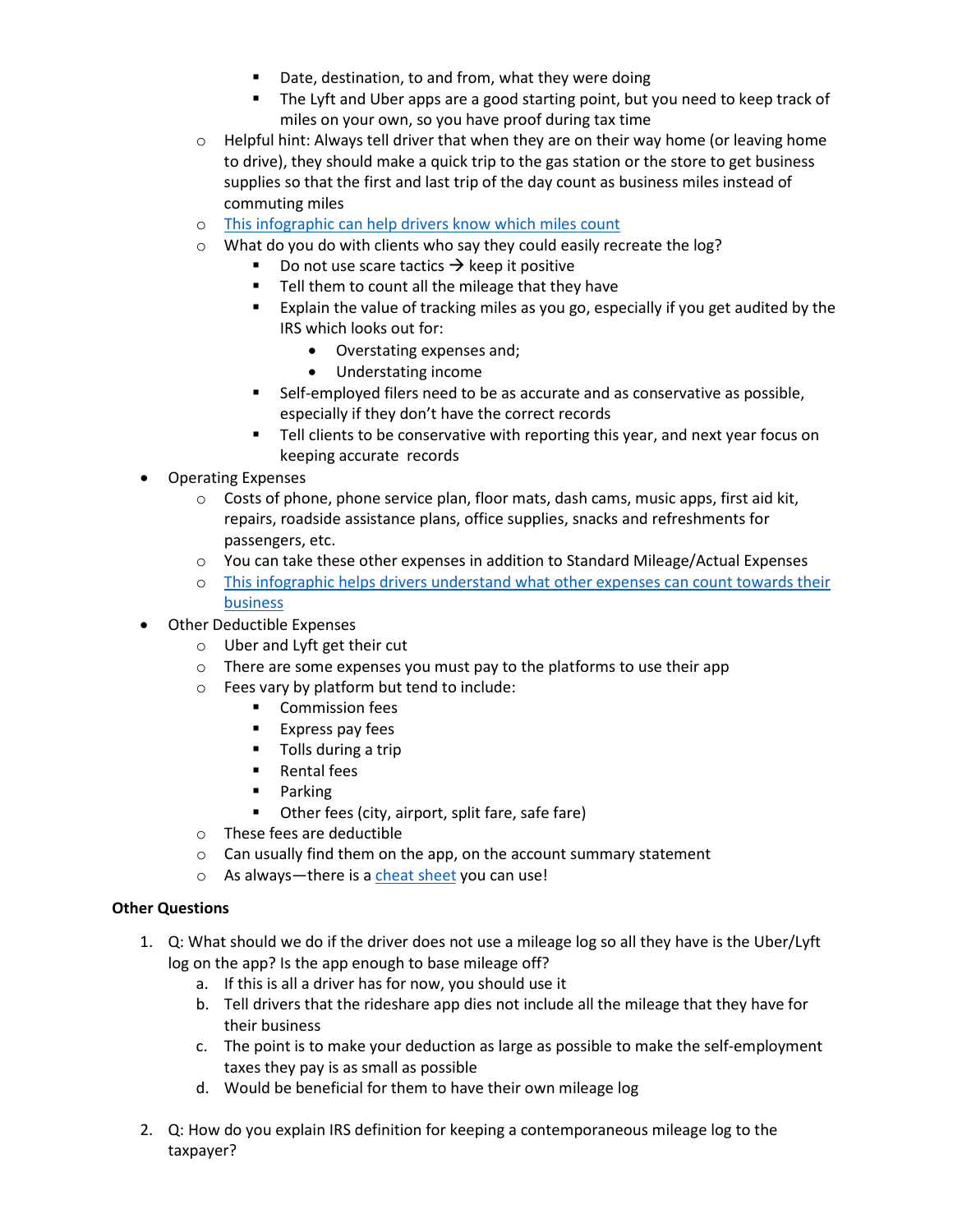- Date, destination, to and from, what they were doing
- The Lyft and Uber apps are a good starting point, but you need to keep track of miles on your own, so you have proof during tax time
- $\circ$  Helpful hint: Always tell driver that when they are on their way home (or leaving home to drive), they should make a quick trip to the gas station or the store to get business supplies so that the first and last trip of the day count as business miles instead of commuting miles
- o This infographic can [help drivers know which miles count](https://www.eitcoutreach.org/wp-content/uploads/which-miles-count.png)
- o What do you do with clients who say they could easily recreate the log?
	- Do not use scare tactics  $\rightarrow$  keep it positive
	- **Tell them to count all the mileage that they have**
	- Explain the value of tracking miles as you go, especially if you get audited by the IRS which looks out for:
		- Overstating expenses and;
		- Understating income
	- Self-employed filers need to be as accurate and as conservative as possible, especially if they don't have the correct records
	- Tell clients to be conservative with reporting this year, and next year focus on keeping accurate records
- Operating Expenses
	- $\circ$  Costs of phone, phone service plan, floor mats, dash cams, music apps, first aid kit, repairs, roadside assistance plans, office supplies, snacks and refreshments for passengers, etc.
	- $\circ$  You can take these other expenses in addition to Standard Mileage/Actual Expenses
	- o This infographic helps [drivers understand what other expenses can count towards their](https://www.eitcoutreach.org/wp-content/uploads/rideshare-tax-deductions.png)  [business](https://www.eitcoutreach.org/wp-content/uploads/rideshare-tax-deductions.png)
- Other Deductible Expenses
	- o Uber and Lyft get their cut
	- o There are some expenses you must pay to the platforms to use their app
	- o Fees vary by platform but tend to include:
		- **•** Commission fees
		- **Express pay fees**
		- **Tolls during a trip**
		- **Rental fees**
		- **Parking**
		- Other fees (city, airport, split fare, safe fare)
	- o These fees are deductible
	- o Can usually find them on the app, on the account summary statement
	- o As always—there is a [cheat sheet](http://ridesharetaxhelp.com/cheatsheet) you can use!

## **Other Questions**

- 1. Q: What should we do if the driver does not use a mileage log so all they have is the Uber/Lyft log on the app? Is the app enough to base mileage off?
	- a. If this is all a driver has for now, you should use it
	- b. Tell drivers that the rideshare app dies not include all the mileage that they have for their business
	- c. The point is to make your deduction as large as possible to make the self-employment taxes they pay is as small as possible
	- d. Would be beneficial for them to have their own mileage log
- 2. Q: How do you explain IRS definition for keeping a contemporaneous mileage log to the taxpayer?